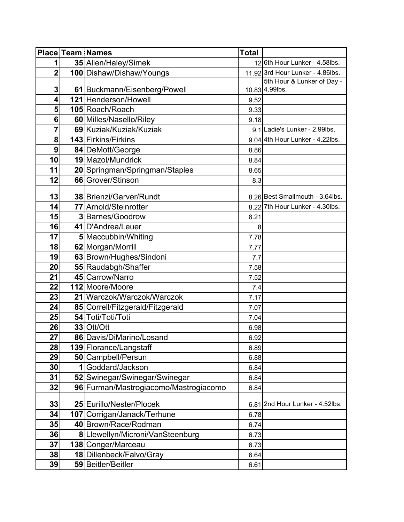|                         | <b>Place Team Names</b>               | <b>Total</b> |                                  |
|-------------------------|---------------------------------------|--------------|----------------------------------|
| $\mathbf{1}$            | 35 Allen/Haley/Simek                  |              | 12 6th Hour Lunker - 4.58lbs.    |
| $\overline{2}$          | 100 Dishaw/Dishaw/Youngs              |              | 11.92 3rd Hour Lunker - 4.86lbs. |
|                         |                                       |              | 5th Hour & Lunker of Day -       |
| 3                       | 61 Buckmann/Eisenberg/Powell          |              | 10.83 4.99lbs.                   |
| $\overline{\mathbf{4}}$ | 121 Henderson/Howell                  | 9.52         |                                  |
| 5 <sup>1</sup>          | 105 Roach/Roach                       | 9.33         |                                  |
| 6                       | 60 Milles/Nasello/Riley               | 9.18         |                                  |
| $\overline{\mathbf{r}}$ | 69 Kuziak/Kuziak/Kuziak               |              | 9.1 Ladie's Lunker - 2.99lbs.    |
| 8                       | 143 Firkins/Firkins                   |              | 9.04 4th Hour Lunker - 4.22lbs.  |
| $\overline{9}$          | 84 DeMott/George                      | 8.86         |                                  |
| 10                      | 19 Mazol/Mundrick                     | 8.84         |                                  |
| 11                      | 20 Springman/Springman/Staples        | 8.65         |                                  |
| 12                      | 66 Grover/Stinson                     | 8.3          |                                  |
| 13                      | 38 Brienzi/Garver/Rundt               |              | 8.26 Best Smallmouth - 3.64lbs.  |
| 14                      | 77 Arnold/Steinrotter                 |              | 8.22 7th Hour Lunker - 4.30lbs.  |
| 15                      | 3 Barnes/Goodrow                      | 8.21         |                                  |
| 16                      | 41 D'Andrea/Leuer                     | 8            |                                  |
| 17                      | 5 Maccubbin/Whiting                   | 7.78         |                                  |
| 18                      | 62 Morgan/Morrill                     | 7.77         |                                  |
| 19                      | 63 Brown/Hughes/Sindoni               | 7.7          |                                  |
| 20                      | 55 Raudabgh/Shaffer                   | 7.58         |                                  |
| 21                      | 45 Carrow/Narro                       | 7.52         |                                  |
| 22                      | 112 Moore/Moore                       | 7.4          |                                  |
| 23                      | 21 Warczok/Warczok/Warczok            | 7.17         |                                  |
| 24                      | 85 Correll/Fitzgerald/Fitzgerald      | 7.07         |                                  |
| 25                      | 54 Toti/Toti/Toti                     | 7.04         |                                  |
| 26                      | 33 Ott/Ott                            | 6.98         |                                  |
| 27                      | 86 Davis/DiMarino/Losand              | 6.92         |                                  |
| 28                      | 139 Florance/Langstaff                | 6.89         |                                  |
| 29                      | 50 Campbell/Persun                    | 6.88         |                                  |
| 30                      | 1 Goddard/Jackson                     | 6.84         |                                  |
| 31                      | 52 Swinegar/Swinegar/Swinegar         | 6.84         |                                  |
| 32                      | 96 Furman/Mastrogiacomo/Mastrogiacomo | 6.84         |                                  |
|                         |                                       |              |                                  |
| 33                      | 25 Eurillo/Nester/Plocek              |              | 6.81 2nd Hour Lunker - 4.52lbs.  |
| 34                      | 107 Corrigan/Janack/Terhune           | 6.78         |                                  |
| 35                      | 40 Brown/Race/Rodman                  | 6.74         |                                  |
| 36                      | 8 Llewellyn/Microni/VanSteenburg      | 6.73         |                                  |
| 37                      | 138 Conger/Marceau                    | 6.73         |                                  |
| 38                      | 18 Dillenbeck/Falvo/Gray              | 6.64         |                                  |
| 39                      | 59 Beitler/Beitler                    | 6.61         |                                  |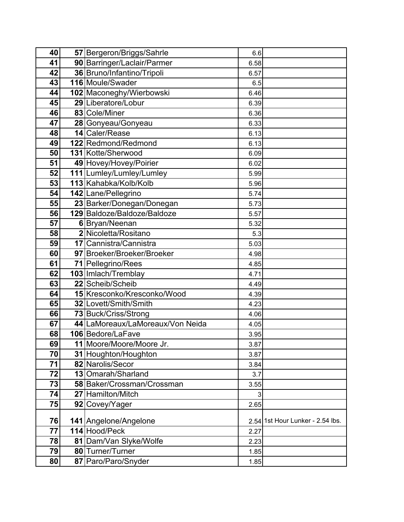| 40 | 57 Bergeron/Briggs/Sahrle        | 6.6  |                                  |
|----|----------------------------------|------|----------------------------------|
| 41 | 90 Barringer/Laclair/Parmer      | 6.58 |                                  |
| 42 | 36 Bruno/Infantino/Tripoli       | 6.57 |                                  |
| 43 | 116 Moule/Swader                 | 6.5  |                                  |
| 44 | 102 Maconeghy/Wierbowski         | 6.46 |                                  |
| 45 | 29 Liberatore/Lobur              | 6.39 |                                  |
| 46 | 83 Cole/Miner                    | 6.36 |                                  |
| 47 | 28 Gonyeau/Gonyeau               | 6.33 |                                  |
| 48 | 14 Caler/Rease                   | 6.13 |                                  |
| 49 | 122 Redmond/Redmond              | 6.13 |                                  |
| 50 | 131 Kotte/Sherwood               | 6.09 |                                  |
| 51 | 49 Hovey/Hovey/Poirier           | 6.02 |                                  |
| 52 | 111 Lumley/Lumley/Lumley         | 5.99 |                                  |
| 53 | 113 Kahabka/Kolb/Kolb            | 5.96 |                                  |
| 54 | 142 Lane/Pellegrino              | 5.74 |                                  |
| 55 | 23 Barker/Donegan/Donegan        | 5.73 |                                  |
| 56 | 129 Baldoze/Baldoze/Baldoze      | 5.57 |                                  |
| 57 | 6 Bryan/Neenan                   | 5.32 |                                  |
| 58 | 2 Nicoletta/Rositano             | 5.3  |                                  |
| 59 | 17 Cannistra/Cannistra           | 5.03 |                                  |
| 60 | 97 Broeker/Broeker/Broeker       | 4.98 |                                  |
| 61 | 71 Pellegrino/Rees               | 4.85 |                                  |
| 62 | 103 Imlach/Tremblay              | 4.71 |                                  |
| 63 | 22 Scheib/Scheib                 | 4.49 |                                  |
| 64 | 15 Kresconko/Kresconko/Wood      | 4.39 |                                  |
| 65 | 32 Lovett/Smith/Smith            | 4.23 |                                  |
| 66 | 73 Buck/Criss/Strong             | 4.06 |                                  |
| 67 | 44 LaMoreaux/LaMoreaux/Von Neida | 4.05 |                                  |
| 68 | 106 Bedore/LaFave                | 3.95 |                                  |
| 69 | 11 Moore/Moore/Moore Jr.         | 3.87 |                                  |
| 70 | 31 Houghton/Houghton             | 3.87 |                                  |
| 71 | 82 Narolis/Secor                 | 3.84 |                                  |
| 72 | 13 Omarah/Sharland               | 3.7  |                                  |
| 73 | 58 Baker/Crossman/Crossman       | 3.55 |                                  |
| 74 | 27 Hamilton/Mitch                | 3    |                                  |
| 75 | 92 Covey/Yager                   | 2.65 |                                  |
| 76 | 141 Angelone/Angelone            |      | 2.54 1st Hour Lunker - 2.54 lbs. |
| 77 | 114 Hood/Peck                    | 2.27 |                                  |
| 78 | 81 Dam/Van Slyke/Wolfe           | 2.23 |                                  |
| 79 | 80 Turner/Turner                 | 1.85 |                                  |
| 80 | 87 Paro/Paro/Snyder              | 1.85 |                                  |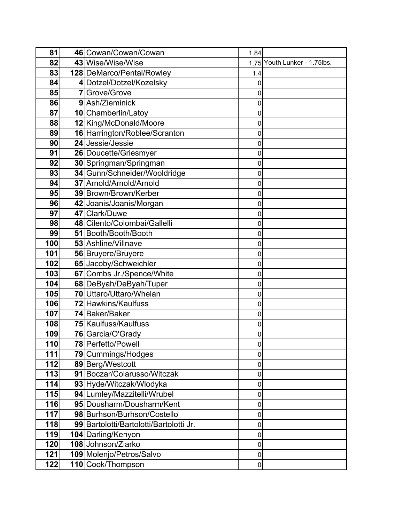| 81  | 46 Cowan/Cowan/Cowan                    | 1.84        |                              |
|-----|-----------------------------------------|-------------|------------------------------|
| 82  | 43 Wise/Wise/Wise                       |             | 1.75 Youth Lunker - 1.75lbs. |
| 83  | 128 DeMarco/Pental/Rowley               | 1.4         |                              |
| 84  | 4 Dotzel/Dotzel/Kozelsky                | 0           |                              |
| 85  | 7 Grove/Grove                           | 0           |                              |
| 86  | 9 Ash/Zieminick                         | 0           |                              |
| 87  | 10 Chamberlin/Latoy                     | $\mathbf 0$ |                              |
| 88  | 12 King/McDonald/Moore                  | 0           |                              |
| 89  | 16 Harrington/Roblee/Scranton           | 0           |                              |
| 90  | 24 Jessie/Jessie                        | 0           |                              |
| 91  | 26 Doucette/Griesmyer                   | 0           |                              |
| 92  | 30 Springman/Springman                  | 0           |                              |
| 93  | 34 Gunn/Schneider/Wooldridge            | 0           |                              |
| 94  | 37 Arnold/Arnold/Arnold                 | 0           |                              |
| 95  | 39 Brown/Brown/Kerber                   | 0           |                              |
| 96  | 42 Joanis/Joanis/Morgan                 | 0           |                              |
| 97  | 47 Clark/Duwe                           | 0           |                              |
| 98  | 48 Cilento/Colombai/Gallelli            | 0           |                              |
| 99  | 51 Booth/Booth/Booth                    | 0           |                              |
| 100 | 53 Ashline/Villnave                     | 0           |                              |
| 101 | 56 Bruyere/Bruyere                      | 0           |                              |
| 102 | 65 Jacoby/Schweichler                   | 0           |                              |
| 103 | 67 Combs Jr./Spence/White               | 0           |                              |
| 104 | 68 DeByah/DeByah/Tuper                  | 0           |                              |
| 105 | 70 Uttaro/Uttaro/Whelan                 | 0           |                              |
| 106 | 72 Hawkins/Kaulfuss                     | 0           |                              |
| 107 | 74 Baker/Baker                          | 0           |                              |
| 108 | 75 Kaulfuss/Kaulfuss                    | 0           |                              |
| 109 | 76 Garcia/O'Grady                       | 0           |                              |
| 110 | 78 Perfetto/Powell                      | 0           |                              |
| 111 | 79 Cummings/Hodges                      | 0           |                              |
| 112 | 89 Berg/Westcott                        | 0           |                              |
| 113 | 91 Boczar/Colarusso/Witczak             | $\pmb{0}$   |                              |
| 114 | 93 Hyde/Witczak/Wlodyka                 | 0           |                              |
| 115 | 94 Lumley/Mazzitelli/Wrubel             | 0           |                              |
| 116 | 95 Dousharm/Dousharm/Kent               | $\pmb{0}$   |                              |
| 117 | 98 Burhson/Burhson/Costello             | 0           |                              |
| 118 | 99 Bartolotti/Bartolotti/Bartolotti Jr. | 0           |                              |
| 119 | 104 Darling/Kenyon                      | 0           |                              |
| 120 | 108 Johnson/Ziarko                      | 0           |                              |
| 121 | 109 Molenjo/Petros/Salvo                | 0           |                              |
| 122 | 110 Cook/Thompson                       | 0           |                              |